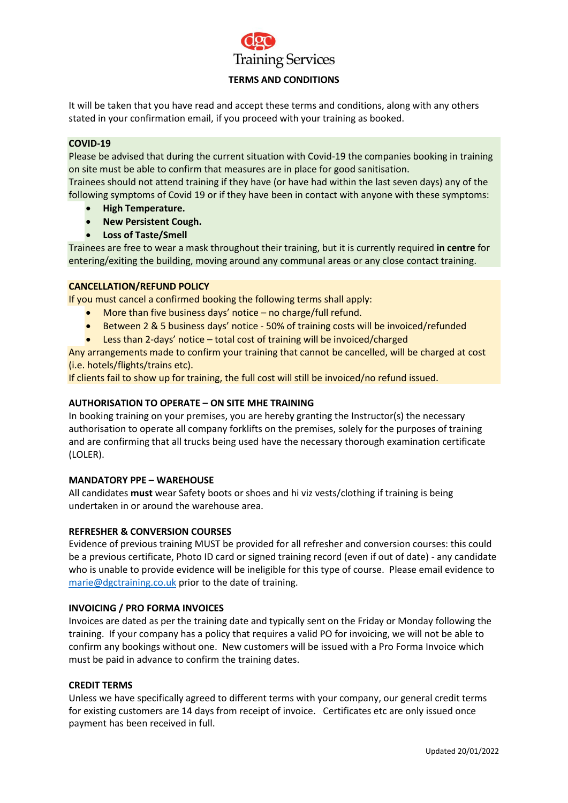

# **TERMS AND CONDITIONS**

It will be taken that you have read and accept these terms and conditions, along with any others stated in your confirmation email, if you proceed with your training as booked.

# **COVID-19**

Please be advised that during the current situation with Covid-19 the companies booking in training on site must be able to confirm that measures are in place for good sanitisation.

Trainees should not attend training if they have (or have had within the last seven days) any of the following symptoms of Covid 19 or if they have been in contact with anyone with these symptoms:

- **High Temperature.**
- **New Persistent Cough.**
- **Loss of Taste/Smell**

Trainees are free to wear a mask throughout their training, but it is currently required **in centre** for entering/exiting the building, moving around any communal areas or any close contact training.

# **CANCELLATION/REFUND POLICY**

If you must cancel a confirmed booking the following terms shall apply:

- More than five business days' notice no charge/full refund.
- Between 2 & 5 business days' notice 50% of training costs will be invoiced/refunded
- Less than 2-days' notice total cost of training will be invoiced/charged

Any arrangements made to confirm your training that cannot be cancelled, will be charged at cost (i.e. hotels/flights/trains etc).

If clients fail to show up for training, the full cost will still be invoiced/no refund issued.

# **AUTHORISATION TO OPERATE – ON SITE MHE TRAINING**

In booking training on your premises, you are hereby granting the Instructor(s) the necessary authorisation to operate all company forklifts on the premises, solely for the purposes of training and are confirming that all trucks being used have the necessary thorough examination certificate (LOLER).

#### **MANDATORY PPE – WAREHOUSE**

All candidates **must** wear Safety boots or shoes and hi viz vests/clothing if training is being undertaken in or around the warehouse area.

#### **REFRESHER & CONVERSION COURSES**

Evidence of previous training MUST be provided for all refresher and conversion courses: this could be a previous certificate, Photo ID card or signed training record (even if out of date) - any candidate who is unable to provide evidence will be ineligible for this type of course. Please email evidence to [marie@dgctraining.co.uk](mailto:marie@dgctraining.co.uk) prior to the date of training.

#### **INVOICING / PRO FORMA INVOICES**

Invoices are dated as per the training date and typically sent on the Friday or Monday following the training. If your company has a policy that requires a valid PO for invoicing, we will not be able to confirm any bookings without one. New customers will be issued with a Pro Forma Invoice which must be paid in advance to confirm the training dates.

#### **CREDIT TERMS**

Unless we have specifically agreed to different terms with your company, our general credit terms for existing customers are 14 days from receipt of invoice. Certificates etc are only issued once payment has been received in full.